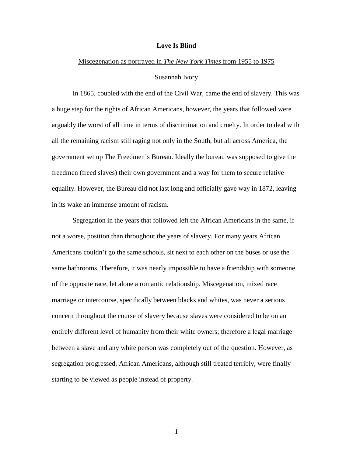### **Love Is Blind**

### Miscegenation as portrayed in *The New York Times* from 1955 to 1975

### Susannah Ivory

In 1865, coupled with the end of the Civil War, came the end of slavery. This was a huge step for the rights of African Americans, however, the years that followed were arguably the worst of all time in terms of discrimination and cruelty. In order to deal with all the remaining racism still raging not only in the South, but all across America, the government set up The Freedmen's Bureau. Ideally the bureau was supposed to give the freedmen (freed slaves) their own government and a way for them to secure relative equality. However, the Bureau did not last long and officially gave way in 1872, leaving in its wake an immense amount of racism.

Segregation in the years that followed left the African Americans in the same, if not a worse, position than throughout the years of slavery. For many years African Americans couldn't go the same schools, sit next to each other on the buses or use the same bathrooms. Therefore, it was nearly impossible to have a friendship with someone of the opposite race, let alone a romantic relationship. Miscegenation, mixed race marriage or intercourse, specifically between blacks and whites, was never a serious concern throughout the course of slavery because slaves were considered to be on an entirely different level of humanity from their white owners; therefore a legal marriage between a slave and any white person was completely out of the question. However, as segregation progressed, African Americans, although still treated terribly, were finally starting to be viewed as people instead of property.

1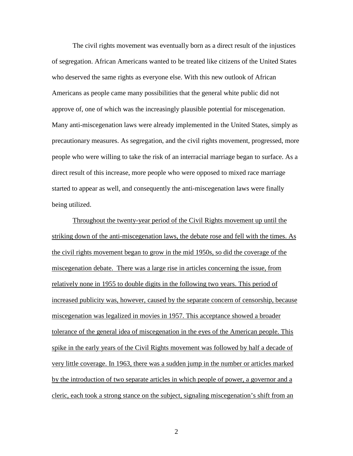The civil rights movement was eventually born as a direct result of the injustices of segregation. African Americans wanted to be treated like citizens of the United States who deserved the same rights as everyone else. With this new outlook of African Americans as people came many possibilities that the general white public did not approve of, one of which was the increasingly plausible potential for miscegenation. Many anti-miscegenation laws were already implemented in the United States, simply as precautionary measures. As segregation, and the civil rights movement, progressed, more people who were willing to take the risk of an interracial marriage began to surface. As a direct result of this increase, more people who were opposed to mixed race marriage started to appear as well, and consequently the anti-miscegenation laws were finally being utilized.

Throughout the twenty-year period of the Civil Rights movement up until the striking down of the anti-miscegenation laws, the debate rose and fell with the times. As the civil rights movement began to grow in the mid 1950s, so did the coverage of the miscegenation debate. There was a large rise in articles concerning the issue, from relatively none in 1955 to double digits in the following two years. This period of increased publicity was, however, caused by the separate concern of censorship, because miscegenation was legalized in movies in 1957. This acceptance showed a broader tolerance of the general idea of miscegenation in the eyes of the American people. This spike in the early years of the Civil Rights movement was followed by half a decade of very little coverage. In 1963, there was a sudden jump in the number or articles marked by the introduction of two separate articles in which people of power, a governor and a cleric, each took a strong stance on the subject, signaling miscegenation's shift from an

2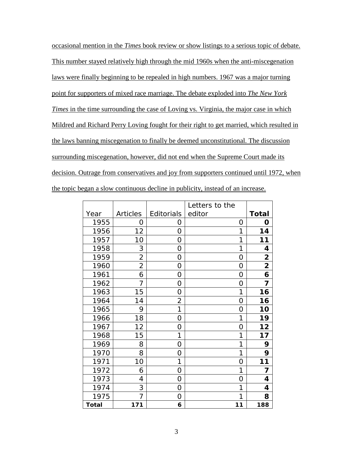occasional mention in the *Times* book review or show listings to a serious topic of debate. This number stayed relatively high through the mid 1960s when the anti-miscegenation laws were finally beginning to be repealed in high numbers. 1967 was a major turning point for supporters of mixed race marriage. The debate exploded into *The New York Times* in the time surrounding the case of Loving vs. Virginia, the major case in which Mildred and Richard Perry Loving fought for their right to get married, which resulted in the laws banning miscegenation to finally be deemed unconstitutional. The discussion surrounding miscegenation, however, did not end when the Supreme Court made its decision. Outrage from conservatives and joy from supporters continued until 1972, when the topic began a slow continuous decline in publicity, instead of an increase.

|              |                 |                | Letters to the |                |
|--------------|-----------------|----------------|----------------|----------------|
| Year         | <b>Articles</b> | Editorials     | editor         | <b>Total</b>   |
| 1955         | 0               | O              | 0              | O              |
| 1956         | 12              | 0              | 1              | 14             |
| 1957         | 10              | 0              | 1              | 11             |
| 1958         | 3               | 0              | 1              | 4              |
| 1959         | $\overline{2}$  | 0              | 0              | 2              |
| 1960         | $\overline{2}$  | 0              | 0              | $\overline{2}$ |
| 1961         | 6               | 0              | 0              | 6              |
| 1962         | 7               | 0              | 0              | 7              |
| 1963         | 15              | 0              | 1              | 16             |
| 1964         | 14              | $\overline{2}$ | 0              | 16             |
| 1965         | 9               | 1              | 0              | 10             |
| 1966         | 18              | 0              | 1              | 19             |
| 1967         | 12              | 0              | 0              | 12             |
| 1968         | 15              | 1              | 1              | 17             |
| 1969         | 8               | 0              | 1              | 9              |
| 1970         | 8               | 0              | 1              | 9              |
| 1971         | 10              | 1              | 0              | 11             |
| 1972         | 6               | 0              | 1              | 7              |
| 1973         | 4               | 0              | 0              | 4              |
| 1974         | 3               | 0              | 1              | 4              |
| 1975         | 7               | 0              | 1              | 8              |
| <b>Total</b> | 171             | 6              | 11             | 188            |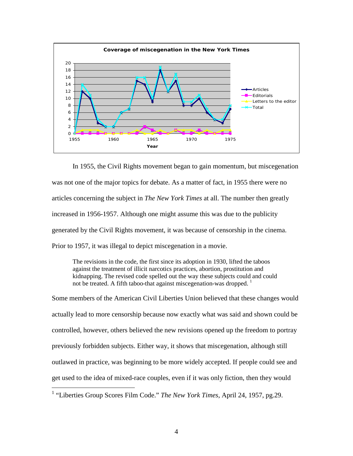

In 1955, the Civil Rights movement began to gain momentum, but miscegenation was not one of the major topics for debate. As a matter of fact, in 1955 there were no articles concerning the subject in *The New York Times* at all. The number then greatly increased in 1956-1957. Although one might assume this was due to the publicity generated by the Civil Rights movement, it was because of censorship in the cinema. Prior to 1957, it was illegal to depict miscegenation in a movie.

The revisions in the code, the first since its adoption in 1930, lifted the taboos against the treatment of illicit narcotics practices, abortion, prostitution and kidnapping. The revised code spelled out the way these subjects could and could not be treated. A fifth taboo-that against miscegenation-was dropped.  $<sup>1</sup>$ </sup>

Some members of the American Civil Liberties Union believed that these changes would actually lead to more censorship because now exactly what was said and shown could be controlled, however, others believed the new revisions opened up the freedom to portray previously forbidden subjects. Either way, it shows that miscegenation, although still outlawed in practice, was beginning to be more widely accepted. If people could see and get used to the idea of mixed-race couples, even if it was only fiction, then they would

 <sup>1</sup> "Liberties Group Scores Film Code." *The New York Times*, April 24, 1957, pg.29.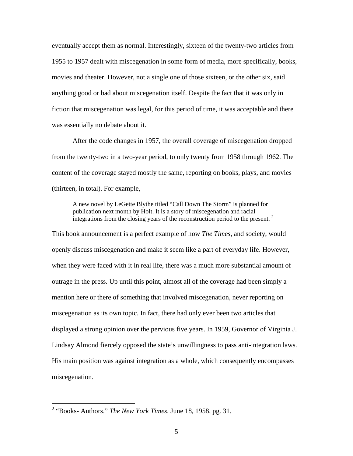eventually accept them as normal. Interestingly, sixteen of the twenty-two articles from 1955 to 1957 dealt with miscegenation in some form of media, more specifically, books, movies and theater. However, not a single one of those sixteen, or the other six, said anything good or bad about miscegenation itself. Despite the fact that it was only in fiction that miscegenation was legal, for this period of time, it was acceptable and there was essentially no debate about it.

After the code changes in 1957, the overall coverage of miscegenation dropped from the twenty-two in a two-year period, to only twenty from 1958 through 1962. The content of the coverage stayed mostly the same, reporting on books, plays, and movies (thirteen, in total). For example,

A new novel by LeGette Blythe titled "Call Down The Storm" is planned for publication next month by Holt. It is a story of miscegenation and racial integrations from the closing years of the reconstruction period to the present.  $2$ 

This book announcement is a perfect example of how *The Times*, and society, would openly discuss miscegenation and make it seem like a part of everyday life. However, when they were faced with it in real life, there was a much more substantial amount of outrage in the press. Up until this point, almost all of the coverage had been simply a mention here or there of something that involved miscegenation, never reporting on miscegenation as its own topic. In fact, there had only ever been two articles that displayed a strong opinion over the pervious five years. In 1959, Governor of Virginia J. Lindsay Almond fiercely opposed the state's unwillingness to pass anti-integration laws. His main position was against integration as a whole, which consequently encompasses miscegenation.

 <sup>2</sup> "Books- Authors." *The New York Times,* June 18, 1958, pg. 31.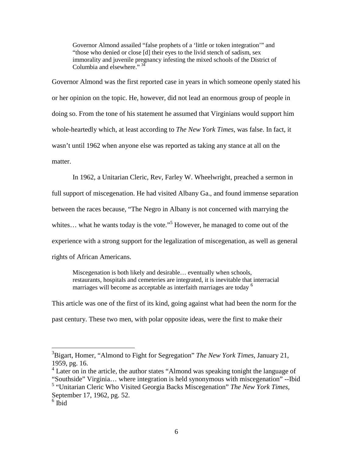Governor Almond assailed "false prophets of a 'little or token integration'" and "those who denied or close [d] their eyes to the livid stench of sadism, sex immorality and juvenile pregnancy infesting the mixed schools of the District of Columbia and elsewhere." 34

Governor Almond was the first reported case in years in which someone openly stated his or her opinion on the topic. He, however, did not lead an enormous group of people in doing so. From the tone of his statement he assumed that Virginians would support him whole-heartedly which, at least according to *The New York Times*, was false. In fact, it wasn't until 1962 when anyone else was reported as taking any stance at all on the matter.

In 1962, a Unitarian Cleric, Rev, Farley W. Wheelwright, preached a sermon in full support of miscegenation. He had visited Albany Ga., and found immense separation between the races because, "The Negro in Albany is not concerned with marrying the whites... what he wants today is the vote."<sup>5</sup> However, he managed to come out of the experience with a strong support for the legalization of miscegenation, as well as general rights of African Americans.

Miscegenation is both likely and desirable… eventually when schools, restaurants, hospitals and cemeteries are integrated, it is inevitable that interracial marriages will become as acceptable as interfaith marriages are today <sup>6</sup>

This article was one of the first of its kind, going against what had been the norm for the past century. These two men, with polar opposite ideas, were the first to make their

 <sup>3</sup> Bigart, Homer, "Almond to Fight for Segregation" *The New York Times*, January 21, 1959, pg. 16.

<sup>&</sup>lt;sup>4</sup> Later on in the article, the author states "Almond was speaking tonight the language of "Southside" Virginia… where integration is held synonymous with miscegenation" --Ibid

<sup>5</sup> "Unitarian Cleric Who Visited Georgia Backs Miscegenation" *The New York Times,*  September 17, 1962, pg. 52.

 $6$  Ibid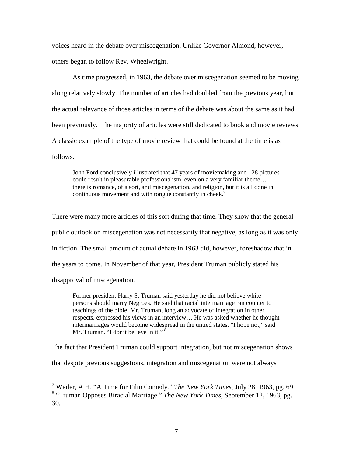voices heard in the debate over miscegenation. Unlike Governor Almond, however, others began to follow Rev. Wheelwright.

As time progressed, in 1963, the debate over miscegenation seemed to be moving along relatively slowly. The number of articles had doubled from the previous year, but the actual relevance of those articles in terms of the debate was about the same as it had been previously. The majority of articles were still dedicated to book and movie reviews. A classic example of the type of movie review that could be found at the time is as follows.

John Ford conclusively illustrated that 47 years of moviemaking and 128 pictures could result in pleasurable professionalism, even on a very familiar theme… there is romance, of a sort, and miscegenation, and religion, but it is all done in continuous movement and with tongue constantly in cheek.<sup>7</sup>

There were many more articles of this sort during that time. They show that the general public outlook on miscegenation was not necessarily that negative, as long as it was only in fiction. The small amount of actual debate in 1963 did, however, foreshadow that in the years to come. In November of that year, President Truman publicly stated his disapproval of miscegenation.

Former president Harry S. Truman said yesterday he did not believe white persons should marry Negroes. He said that racial intermarriage ran counter to teachings of the bible. Mr. Truman, long an advocate of integration in other respects, expressed his views in an interview… He was asked whether he thought intermarriages would become widespread in the untied states. "I hope not," said Mr. Truman. "I don't believe in it."

The fact that President Truman could support integration, but not miscegenation shows

that despite previous suggestions, integration and miscegenation were not always

 <sup>7</sup> Weiler, A.H. "A Time for Film Comedy." *The New York Times*, July 28, 1963, pg. 69. <sup>8</sup> "Truman Opposes Biracial Marriage." *The New York Times,* September 12, 1963, pg. 30.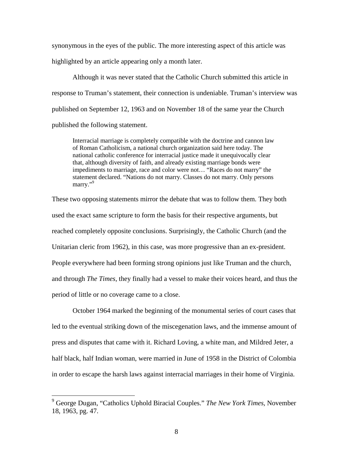synonymous in the eyes of the public. The more interesting aspect of this article was highlighted by an article appearing only a month later.

Although it was never stated that the Catholic Church submitted this article in response to Truman's statement, their connection is undeniable. Truman's interview was published on September 12, 1963 and on November 18 of the same year the Church published the following statement.

Interracial marriage is completely compatible with the doctrine and cannon law of Roman Catholicism, a national church organization said here today. The national catholic conference for interracial justice made it unequivocally clear that, although diversity of faith, and already existing marriage bonds were impediments to marriage, race and color were not… "Races do not marry" the statement declared. "Nations do not marry. Classes do not marry. Only persons marry."<sup>9</sup>

These two opposing statements mirror the debate that was to follow them. They both used the exact same scripture to form the basis for their respective arguments, but reached completely opposite conclusions. Surprisingly, the Catholic Church (and the Unitarian cleric from 1962), in this case, was more progressive than an ex-president. People everywhere had been forming strong opinions just like Truman and the church, and through *The Times*, they finally had a vessel to make their voices heard, and thus the period of little or no coverage came to a close.

October 1964 marked the beginning of the monumental series of court cases that led to the eventual striking down of the miscegenation laws, and the immense amount of press and disputes that came with it. Richard Loving, a white man, and Mildred Jeter, a half black, half Indian woman, were married in June of 1958 in the District of Colombia in order to escape the harsh laws against interracial marriages in their home of Virginia.

 <sup>9</sup> George Dugan, "Catholics Uphold Biracial Couples." *The New York Times,* November 18, 1963, pg. 47.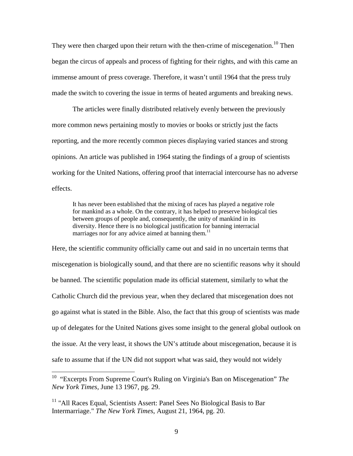They were then charged upon their return with the then-crime of miscegenation.<sup>10</sup> Then began the circus of appeals and process of fighting for their rights, and with this came an immense amount of press coverage. Therefore, it wasn't until 1964 that the press truly made the switch to covering the issue in terms of heated arguments and breaking news.

The articles were finally distributed relatively evenly between the previously more common news pertaining mostly to movies or books or strictly just the facts reporting, and the more recently common pieces displaying varied stances and strong opinions. An article was published in 1964 stating the findings of a group of scientists working for the United Nations, offering proof that interracial intercourse has no adverse effects.

It has never been established that the mixing of races has played a negative role for mankind as a whole. On the contrary, it has helped to preserve biological ties between groups of people and, consequently, the unity of mankind in its diversity. Hence there is no biological justification for banning interracial marriages nor for any advice aimed at banning them.<sup>11</sup>

Here, the scientific community officially came out and said in no uncertain terms that miscegenation is biologically sound, and that there are no scientific reasons why it should be banned. The scientific population made its official statement, similarly to what the Catholic Church did the previous year, when they declared that miscegenation does not go against what is stated in the Bible. Also, the fact that this group of scientists was made up of delegates for the United Nations gives some insight to the general global outlook on the issue. At the very least, it shows the UN's attitude about miscegenation, because it is safe to assume that if the UN did not support what was said, they would not widely

 <sup>10</sup> "Excerpts From Supreme Court's Ruling on Virginia's Ban on Miscegenation" *The New York Times,* June 13 1967, pg. 29.

<sup>&</sup>lt;sup>11</sup> "All Races Equal, Scientists Assert: Panel Sees No Biological Basis to Bar Intermarriage." *The New York Times*, August 21, 1964, pg. 20.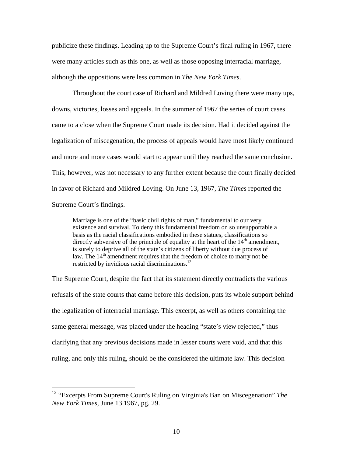publicize these findings. Leading up to the Supreme Court's final ruling in 1967, there were many articles such as this one, as well as those opposing interracial marriage, although the oppositions were less common in *The New York Times*.

Throughout the court case of Richard and Mildred Loving there were many ups, downs, victories, losses and appeals. In the summer of 1967 the series of court cases came to a close when the Supreme Court made its decision. Had it decided against the legalization of miscegenation, the process of appeals would have most likely continued and more and more cases would start to appear until they reached the same conclusion. This, however, was not necessary to any further extent because the court finally decided in favor of Richard and Mildred Loving. On June 13, 1967, *The Times* reported the Supreme Court's findings.

Marriage is one of the "basic civil rights of man," fundamental to our very existence and survival. To deny this fundamental freedom on so unsupportable a basis as the racial classifications embodied in these statues, classifications so directly subversive of the principle of equality at the heart of the  $14<sup>th</sup>$  amendment, is surely to deprive all of the state's citizens of liberty without due process of law. The  $14<sup>th</sup>$  amendment requires that the freedom of choice to marry not be restricted by invidious racial discriminations.<sup>12</sup>

The Supreme Court, despite the fact that its statement directly contradicts the various refusals of the state courts that came before this decision, puts its whole support behind the legalization of interracial marriage. This excerpt, as well as others containing the same general message, was placed under the heading "state's view rejected," thus clarifying that any previous decisions made in lesser courts were void, and that this ruling, and only this ruling, should be the considered the ultimate law. This decision

 <sup>12</sup> "Excerpts From Supreme Court's Ruling on Virginia's Ban on Miscegenation" *The New York Times,* June 13 1967, pg. 29.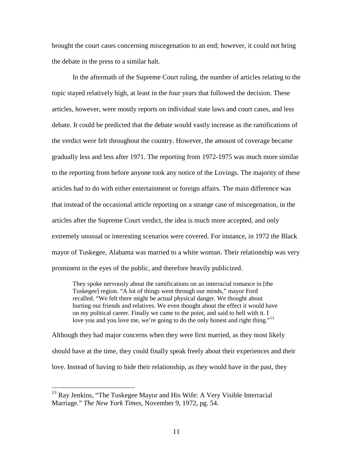brought the court cases concerning miscegenation to an end; however, it could not bring the debate in the press to a similar halt.

In the aftermath of the Supreme Court ruling, the number of articles relating to the topic stayed relatively high, at least in the four years that followed the decision. These articles, however, were mostly reports on individual state laws and court cases, and less debate. It could be predicted that the debate would vastly increase as the ramifications of the verdict were felt throughout the country. However, the amount of coverage became gradually less and less after 1971. The reporting from 1972-1975 was much more similar to the reporting from before anyone took any notice of the Lovings. The majority of these articles had to do with either entertainment or foreign affairs. The main difference was that instead of the occasional article reporting on a strange case of miscegenation, in the articles after the Supreme Court verdict, the idea is much more accepted, and only extremely unusual or interesting scenarios were covered. For instance, in 1972 the Black mayor of Tuskegee, Alabama was married to a white woman. Their relationship was very prominent in the eyes of the public, and therefore heavily publicized.

They spoke nervously about the ramifications on an interracial romance in [the Tuskegee] region. "A lot of things went through our minds," mayor Ford recalled. "We felt there might be actual physical danger. We thought about hurting our friends and relatives. We even thought about the effect it would have on my political career. Finally we came to the point, and said to hell with it. I love you and you love me, we're going to do the only honest and right thing."<sup>13</sup>

Although they had major concerns when they were first married, as they most likely should have at the time, they could finally speak freely about their experiences and their love. Instead of having to hide their relationship, as they would have in the past, they

 $13$  Ray Jenkins, "The Tuskegee Mayor and His Wife: A Very Visible Interracial Marriage." *The New York Times*, November 9, 1972, pg. 54.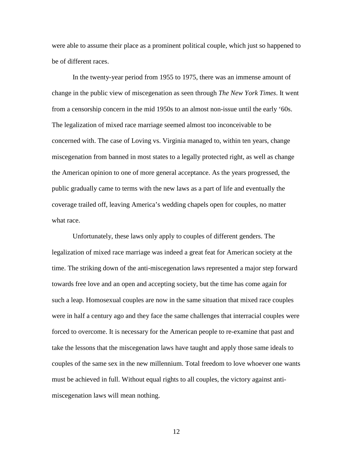were able to assume their place as a prominent political couple, which just so happened to be of different races.

In the twenty-year period from 1955 to 1975, there was an immense amount of change in the public view of miscegenation as seen through *The New York Times*. It went from a censorship concern in the mid 1950s to an almost non-issue until the early '60s. The legalization of mixed race marriage seemed almost too inconceivable to be concerned with. The case of Loving vs. Virginia managed to, within ten years, change miscegenation from banned in most states to a legally protected right, as well as change the American opinion to one of more general acceptance. As the years progressed, the public gradually came to terms with the new laws as a part of life and eventually the coverage trailed off, leaving America's wedding chapels open for couples, no matter what race.

Unfortunately, these laws only apply to couples of different genders. The legalization of mixed race marriage was indeed a great feat for American society at the time. The striking down of the anti-miscegenation laws represented a major step forward towards free love and an open and accepting society, but the time has come again for such a leap. Homosexual couples are now in the same situation that mixed race couples were in half a century ago and they face the same challenges that interracial couples were forced to overcome. It is necessary for the American people to re-examine that past and take the lessons that the miscegenation laws have taught and apply those same ideals to couples of the same sex in the new millennium. Total freedom to love whoever one wants must be achieved in full. Without equal rights to all couples, the victory against antimiscegenation laws will mean nothing.

12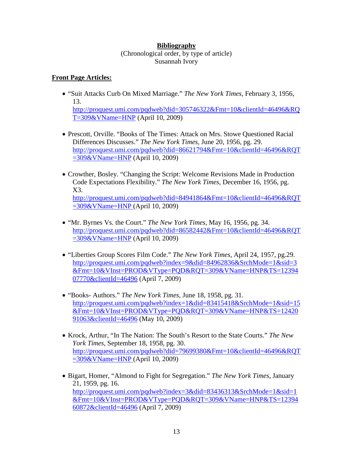### **Bibliography**  (Chronological order, by type of article) Susannah Ivory

## **Front Page Articles:**

- "Suit Attacks Curb On Mixed Marriage." *The New York Times*, February 3, 1956, 13. [http://proquest.umi.com/pqdweb?did=305746322&Fmt=10&clientId=46496&RQ](http://proquest.umi.com/pqdweb?did=305746322&Fmt=10&clientId=46496&RQT=309&VName=HNP) [T=309&VName=HNP](http://proquest.umi.com/pqdweb?did=305746322&Fmt=10&clientId=46496&RQT=309&VName=HNP) (April 10, 2009)
- Prescott, Orville. "Books of The Times: Attack on Mrs. Stowe Questioned Racial Differences Discusses." *The New York Times,* June 20, 1956, pg. 29. [http://proquest.umi.com/pqdweb?did=86621794&Fmt=10&clientId=46496&RQT](https://mail.friendscentral.org/exchweb/bin/redir.asp?URL=http://proquest.umi.com/pqdweb?did=86621794%26Fmt=10%26clientId=46496%26RQT=309%26VName=HNP)  $=309\&$ VName=HNP (April 10, 2009)
- Crowther, Bosley. "Changing the Script: Welcome Revisions Made in Production Code Expectations Flexibility." *The New York Times,* December 16, 1956, pg. X3. [http://proquest.umi.com/pqdweb?did=84941864&Fmt=10&clientId=46496&RQT](http://proquest.umi.com/pqdweb?did=84941864&Fmt=10&clientId=46496&RQT=309&VName=HNP) [=309&VName=HNP](http://proquest.umi.com/pqdweb?did=84941864&Fmt=10&clientId=46496&RQT=309&VName=HNP) (April 10, 2009)
- "Mr. Byrnes Vs. the Court." *The New York Times*, May 16, 1956, pg. 34. http://proquest.umi.com/pqdweb?did=86582442&Fmt=10&clientId=46496&RQT =309&VName=HNP (April 10, 2009)
- "Liberties Group Scores Film Code." *The New York Times*, April 24, 1957, pg.29. [http://proquest.umi.com/pqdweb?index=9&did=84962836&SrchMode=1&sid=3](http://proquest.umi.com/pqdweb?index=9&did=84962836&SrchMode=1&sid=3&Fmt=10&VInst=PROD&VType=PQD&RQT=309&VName=HNP&TS=1239407770&clientId=46496) [&Fmt=10&VInst=PROD&VType=PQD&RQT=309&VName=HNP&TS=12394](http://proquest.umi.com/pqdweb?index=9&did=84962836&SrchMode=1&sid=3&Fmt=10&VInst=PROD&VType=PQD&RQT=309&VName=HNP&TS=1239407770&clientId=46496) [07770&clientId=46496](http://proquest.umi.com/pqdweb?index=9&did=84962836&SrchMode=1&sid=3&Fmt=10&VInst=PROD&VType=PQD&RQT=309&VName=HNP&TS=1239407770&clientId=46496) (April 7, 2009)
- "Books- Authors." *The New York Times,* June 18, 1958, pg. 31. [http://proquest.umi.com/pqdweb?index=1&did=83415418&SrchMode=1&sid=15](http://proquest.umi.com/pqdweb?index=1&did=83415418&SrchMode=1&sid=15&Fmt=10&VInst=PROD&VType=PQD&RQT=309&VName=HNP&TS=1242091063&clientId=46496) [&Fmt=10&VInst=PROD&VType=PQD&RQT=309&VName=HNP&TS=12420](http://proquest.umi.com/pqdweb?index=1&did=83415418&SrchMode=1&sid=15&Fmt=10&VInst=PROD&VType=PQD&RQT=309&VName=HNP&TS=1242091063&clientId=46496) [91063&clientId=46496](http://proquest.umi.com/pqdweb?index=1&did=83415418&SrchMode=1&sid=15&Fmt=10&VInst=PROD&VType=PQD&RQT=309&VName=HNP&TS=1242091063&clientId=46496) (May 10, 2009)
- Krock, Arthur, "In The Nation: The South's Resort to the State Courts." *The New York Times,* September 18, 1958, pg. 30. [http://proquest.umi.com/pqdweb?did=79699380&Fmt=10&clientId=46496&RQT](http://proquest.umi.com/pqdweb?did=79699380&Fmt=10&clientId=46496&RQT=309&VName=HNP) [=309&VName=HNP](http://proquest.umi.com/pqdweb?did=79699380&Fmt=10&clientId=46496&RQT=309&VName=HNP) (April 10, 2009)
- Bigart, Homer, "Almond to Fight for Segregation." *The New York Times*, January 21, 1959, pg. 16. [http://proquest.umi.com/pqdweb?index=3&did=83436313&SrchMode=1&sid=1](http://proquest.umi.com/pqdweb?index=3&did=83436313&SrchMode=1&sid=1&Fmt=10&VInst=PROD&VType=PQD&RQT=309&VName=HNP&TS=1239460872&clientId=46496) [&Fmt=10&VInst=PROD&VType=PQD&RQT=309&VName=HNP&TS=12394](http://proquest.umi.com/pqdweb?index=3&did=83436313&SrchMode=1&sid=1&Fmt=10&VInst=PROD&VType=PQD&RQT=309&VName=HNP&TS=1239460872&clientId=46496) [60872&clientId=46496](http://proquest.umi.com/pqdweb?index=3&did=83436313&SrchMode=1&sid=1&Fmt=10&VInst=PROD&VType=PQD&RQT=309&VName=HNP&TS=1239460872&clientId=46496) (April 7, 2009)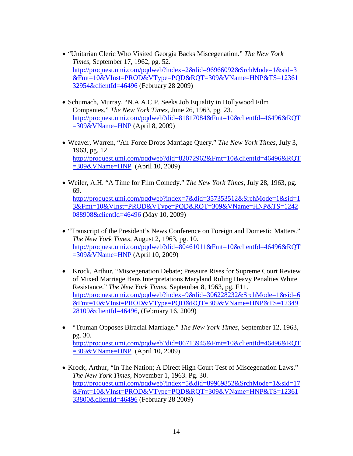- "Unitarian Cleric Who Visited Georgia Backs Miscegenation." *The New York Times,* September 17, 1962, pg. 52. [http://proquest.umi.com/pqdweb?index=2&did=96966092&SrchMode=1&sid=3](http://proquest.umi.com/pqdweb?index=2&did=96966092&SrchMode=1&sid=3&Fmt=10&VInst=PROD&VType=PQD&RQT=309&VName=HNP&TS=1236132954&clientId=46496) [&Fmt=10&VInst=PROD&VType=PQD&RQT=309&VName=HNP&TS=12361](http://proquest.umi.com/pqdweb?index=2&did=96966092&SrchMode=1&sid=3&Fmt=10&VInst=PROD&VType=PQD&RQT=309&VName=HNP&TS=1236132954&clientId=46496) [32954&clientId=46496](http://proquest.umi.com/pqdweb?index=2&did=96966092&SrchMode=1&sid=3&Fmt=10&VInst=PROD&VType=PQD&RQT=309&VName=HNP&TS=1236132954&clientId=46496) (February 28 2009)
- Schumach, Murray, "N.A.A.C.P. Seeks Job Equality in Hollywood Film Companies." *The New York Times,* June 26, 1963, pg. 23. http://proquest.umi.com/pqdweb?did=81817084&Fmt=10&clientId=46496&RQT  $=309\&V$ Name=HNP (April 8, 2009)
- Weaver, Warren, "Air Force Drops Marriage Query." *The New York Times,* July 3, 1963, pg. 12. http://proquest.umi.com/pqdweb?did=82072962&Fmt=10&clientId=46496&RQT =309&VName=HNP (April 10, 2009)
- Weiler, A.H. "A Time for Film Comedy." *The New York Times*, July 28, 1963, pg. 69. [http://proquest.umi.com/pqdweb?index=7&did=357353512&SrchMode=1&sid=1](http://proquest.umi.com/pqdweb?index=7&did=357353512&SrchMode=1&sid=13&Fmt=10&VInst=PROD&VType=PQD&RQT=309&VName=HNP&TS=1242088908&clientId=46496) [3&Fmt=10&VInst=PROD&VType=PQD&RQT=309&VName=HNP&TS=1242](http://proquest.umi.com/pqdweb?index=7&did=357353512&SrchMode=1&sid=13&Fmt=10&VInst=PROD&VType=PQD&RQT=309&VName=HNP&TS=1242088908&clientId=46496) [088908&clientId=46496](http://proquest.umi.com/pqdweb?index=7&did=357353512&SrchMode=1&sid=13&Fmt=10&VInst=PROD&VType=PQD&RQT=309&VName=HNP&TS=1242088908&clientId=46496) (May 10, 2009)
- "Transcript of the President's News Conference on Foreign and Domestic Matters." *The New York Times,* August 2, 1963, pg. 10. http://proquest.umi.com/pqdweb?did=80461011&Fmt=10&clientId=46496&RQT =309&VName=HNP (April 10, 2009)
- Krock, Arthur, "Miscegenation Debate; Pressure Rises for Supreme Court Review of Mixed Marriage Bans Interpretations Maryland Ruling Heavy Penalties White Resistance." *The New York Times*, September 8, 1963, pg. E11. [http://proquest.umi.com/pqdweb?index=9&did=306228232&SrchMode=1&sid=6](http://proquest.umi.com/pqdweb?index=9&did=306228232&SrchMode=1&sid=6&Fmt=10&VInst=PROD&VType=PQD&RQT=309&VName=HNP&TS=1234928109&clientId=46496) [&Fmt=10&VInst=PROD&VType=PQD&RQT=309&VName=HNP&TS=12349](http://proquest.umi.com/pqdweb?index=9&did=306228232&SrchMode=1&sid=6&Fmt=10&VInst=PROD&VType=PQD&RQT=309&VName=HNP&TS=1234928109&clientId=46496) [28109&clientId=46496,](http://proquest.umi.com/pqdweb?index=9&did=306228232&SrchMode=1&sid=6&Fmt=10&VInst=PROD&VType=PQD&RQT=309&VName=HNP&TS=1234928109&clientId=46496) (February 16, 2009)
- "Truman Opposes Biracial Marriage." *The New York Times,* September 12, 1963, pg. 30. http://proquest.umi.com/pqdweb?did=86713945&Fmt=10&clientId=46496&RQT  $=309\&V$ Name=HNP (April 10, 2009)
- Krock, Arthur, "In The Nation; A Direct High Court Test of Miscegenation Laws." *The New York Times*, November 1, 1963. Pg. 30. [http://proquest.umi.com/pqdweb?index=5&did=89969852&SrchMode=1&sid=17](http://proquest.umi.com/pqdweb?index=5&did=89969852&SrchMode=1&sid=17&Fmt=10&VInst=PROD&VType=PQD&RQT=309&VName=HNP&TS=1236133800&clientId=46496) [&Fmt=10&VInst=PROD&VType=PQD&RQT=309&VName=HNP&TS=12361](http://proquest.umi.com/pqdweb?index=5&did=89969852&SrchMode=1&sid=17&Fmt=10&VInst=PROD&VType=PQD&RQT=309&VName=HNP&TS=1236133800&clientId=46496) [33800&clientId=46496](http://proquest.umi.com/pqdweb?index=5&did=89969852&SrchMode=1&sid=17&Fmt=10&VInst=PROD&VType=PQD&RQT=309&VName=HNP&TS=1236133800&clientId=46496) (February 28 2009)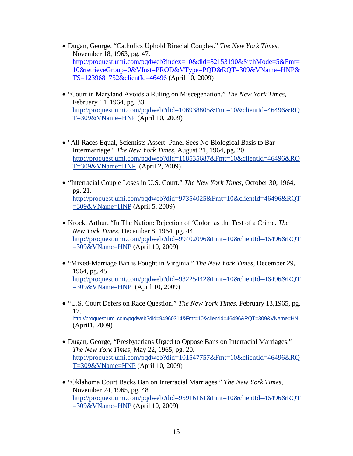- Dugan, George, "Catholics Uphold Biracial Couples." *The New York Times,*  November 18, 1963, pg. 47. [http://proquest.umi.com/pqdweb?index=10&did=82153190&SrchMode=5&Fmt=](http://proquest.umi.com/pqdweb?index=10&did=82153190&SrchMode=5&Fmt=10&retrieveGroup=0&VInst=PROD&VType=PQD&RQT=309&VName=HNP&TS=1239681752&clientId=46496) [10&retrieveGroup=0&VInst=PROD&VType=PQD&RQT=309&VName=HNP&](http://proquest.umi.com/pqdweb?index=10&did=82153190&SrchMode=5&Fmt=10&retrieveGroup=0&VInst=PROD&VType=PQD&RQT=309&VName=HNP&TS=1239681752&clientId=46496) [TS=1239681752&clientId=46496](http://proquest.umi.com/pqdweb?index=10&did=82153190&SrchMode=5&Fmt=10&retrieveGroup=0&VInst=PROD&VType=PQD&RQT=309&VName=HNP&TS=1239681752&clientId=46496) (April 10, 2009)
- "Court in Maryland Avoids a Ruling on Miscegenation." *The New York Times,*  February 14, 1964, pg. 33. http://proquest.umi.com/pqdweb?did=106938805&Fmt=10&clientId=46496&RQ T=309&VName=HNP (April 10, 2009)
- "All Races Equal, Scientists Assert: Panel Sees No Biological Basis to Bar Intermarriage." *The New York Times*, August 21, 1964, pg. 20. http://proquest.umi.com/pqdweb?did=118535687&Fmt=10&clientId=46496&RQ T=309&VName=HNP (April 2, 2009)
- "Interracial Couple Loses in U.S. Court." *The New York Times,* October 30, 1964, pg. 21. http://proquest.umi.com/pqdweb?did=97354025&Fmt=10&clientId=46496&RQT =309&VName=HNP (April 5, 2009)
- Krock, Arthur, "In The Nation: Rejection of 'Color' as the Test of a Crime. *The New York Times*, December 8, 1964, pg. 44. http://proquest.umi.com/pqdweb?did=99402096&Fmt=10&clientId=46496&RQT =309&VName=HNP (April 10, 2009)
- "Mixed-Marriage Ban is Fought in Virginia." *The New York Times,* December 29, 1964, pg. 45. http://proquest.umi.com/pqdweb?did=93225442&Fmt=10&clientId=46496&RQT =309&VName=HNP (April 10, 2009)
- "U.S. Court Defers on Race Question." *The New York Times,* February 13,1965, pg. 17. http://proquest.umi.com/pqdweb?did=94960314&Fmt=10&clientId=46496&RQT=309&VName=HN (April1, 2009)
- Dugan, George, "Presbyterians Urged to Oppose Bans on Interracial Marriages." *The New York Times,* May 22, 1965, pg. 20. http://proquest.umi.com/pqdweb?did=101547757&Fmt=10&clientId=46496&RQ T=309&VName=HNP (April 10, 2009)
- "Oklahoma Court Backs Ban on Interracial Marriages." *The New York Times,*  November 24, 1965, pg. 48 http://proquest.umi.com/pqdweb?did=95916161&Fmt=10&clientId=46496&RQT =309&VName=HNP (April 10, 2009)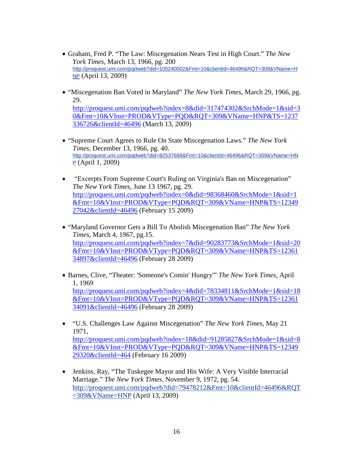- Graham, Fred P. "The Law: Miscegenation Nears Test in High Court." *The New York Times,* March 13, 1966, pg. 200 http://proquest.umi.com/pqdweb?did=105240002&Fmt=10&clientId=46496&RQT=309&VName=H **NP** (April 13, 2009)
- "Miscegenation Ban Voted in Maryland" *The New York Times,* March 29, 1966, pg. 29.

[http://proquest.umi.com/pqdweb?index=8&did=317474302&SrchMode=1&sid=3](http://proquest.umi.com/pqdweb?index=8&did=317474302&SrchMode=1&sid=30&Fmt=10&VInst=PROD&VType=PQD&RQT=309&VName=HNP&TS=1237336726&clientId=46496) [0&Fmt=10&VInst=PROD&VType=PQD&RQT=309&VName=HNP&TS=1237](http://proquest.umi.com/pqdweb?index=8&did=317474302&SrchMode=1&sid=30&Fmt=10&VInst=PROD&VType=PQD&RQT=309&VName=HNP&TS=1237336726&clientId=46496) [336726&clientId=46496](http://proquest.umi.com/pqdweb?index=8&did=317474302&SrchMode=1&sid=30&Fmt=10&VInst=PROD&VType=PQD&RQT=309&VName=HNP&TS=1237336726&clientId=46496) (March 13, 2009)

- "Supreme Court Agrees to Rule On State Miscegenation Laws." *The New York Times,* December 13, 1966, pg. 40. http://proquest.umi.com/pqdweb?did=82537688&Fmt=10&clientId=46496&RQT=309&VName=HN P (April 1, 2009)
- "Excerpts From Supreme Court's Ruling on Virginia's Ban on Miscegenation" *The New York Times,* June 13 1967, pg. 29. [http://proquest.umi.com/pqdweb?index=0&did=98368460&SrchMode=1&sid=1](http://proquest.umi.com/pqdweb?index=0&did=98368460&SrchMode=1&sid=1&Fmt=10&VInst=PROD&VType=PQD&RQT=309&VName=HNP&TS=1234927042&clientId=46496) [&Fmt=10&VInst=PROD&VType=PQD&RQT=309&VName=HNP&TS=12349](http://proquest.umi.com/pqdweb?index=0&did=98368460&SrchMode=1&sid=1&Fmt=10&VInst=PROD&VType=PQD&RQT=309&VName=HNP&TS=1234927042&clientId=46496) [27042&clientId=46496](http://proquest.umi.com/pqdweb?index=0&did=98368460&SrchMode=1&sid=1&Fmt=10&VInst=PROD&VType=PQD&RQT=309&VName=HNP&TS=1234927042&clientId=46496) (February 15 2009)
- "Maryland Governor Gets a Bill To Abolish Miscegenation Ban" *The New York Times,* March 4, 1967, pg.15. [http://proquest.umi.com/pqdweb?index=7&did=90283773&SrchMode=1&sid=20](http://proquest.umi.com/pqdweb?index=7&did=90283773&SrchMode=1&sid=20&Fmt=10&VInst=PROD&VType=PQD&RQT=309&VName=HNP&TS=1236134897&clientId=46496) [&Fmt=10&VInst=PROD&VType=PQD&RQT=309&VName=HNP&TS=12361](http://proquest.umi.com/pqdweb?index=7&did=90283773&SrchMode=1&sid=20&Fmt=10&VInst=PROD&VType=PQD&RQT=309&VName=HNP&TS=1236134897&clientId=46496) [34897&clientId=46496](http://proquest.umi.com/pqdweb?index=7&did=90283773&SrchMode=1&sid=20&Fmt=10&VInst=PROD&VType=PQD&RQT=309&VName=HNP&TS=1236134897&clientId=46496) (February 28 2009)
- Barnes, Clive, "Theater: 'Someone's Comin' Hungry'" *The New York Times,* April 1, 1969 [http://proquest.umi.com/pqdweb?index=4&did=78334811&SrchMode=1&sid=18](http://proquest.umi.com/pqdweb?index=4&did=78334811&SrchMode=1&sid=18&Fmt=10&VInst=PROD&VType=PQD&RQT=309&VName=HNP&TS=1236134091&clientId=46496) [&Fmt=10&VInst=PROD&VType=PQD&RQT=309&VName=HNP&TS=12361](http://proquest.umi.com/pqdweb?index=4&did=78334811&SrchMode=1&sid=18&Fmt=10&VInst=PROD&VType=PQD&RQT=309&VName=HNP&TS=1236134091&clientId=46496) [34091&clientId=46496](http://proquest.umi.com/pqdweb?index=4&did=78334811&SrchMode=1&sid=18&Fmt=10&VInst=PROD&VType=PQD&RQT=309&VName=HNP&TS=1236134091&clientId=46496) (February 28 2009)
- "U.S. Challenges Law Against Miscegenation" *The New York Times*, May 21 1971, [http://proquest.umi.com/pqdweb?index=18&did=91285827&SrchMode=1&sid=8](http://proquest.umi.com/pqdweb?index=18&did=91285827&SrchMode=1&sid=8&Fmt=10&VInst=PROD&VType=PQD&RQT=309&VName=HNP&TS=1234929320&clientId=464) [&Fmt=10&VInst=PROD&VType=PQD&RQT=309&VName=HNP&TS=12349](http://proquest.umi.com/pqdweb?index=18&did=91285827&SrchMode=1&sid=8&Fmt=10&VInst=PROD&VType=PQD&RQT=309&VName=HNP&TS=1234929320&clientId=464) [29320&clientId=464](http://proquest.umi.com/pqdweb?index=18&did=91285827&SrchMode=1&sid=8&Fmt=10&VInst=PROD&VType=PQD&RQT=309&VName=HNP&TS=1234929320&clientId=464) (February 16 2009)
- Jenkins, Ray, "The Tuskegee Mayor and His Wife: A Very Visible Interracial Marriage." *The New York Times*, November 9, 1972, pg. 54. http://proquest.umi.com/pqdweb?did=79478212&Fmt=10&clientId=46496&RQT =309&VName=HNP (April 13, 2009)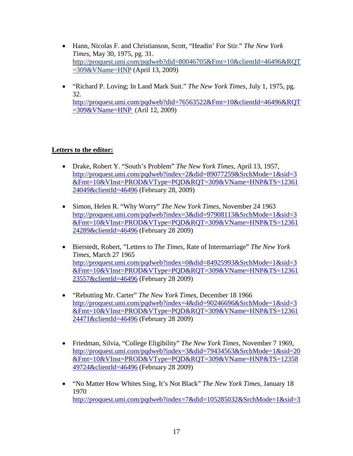- Hann, Nicolas F. and Christianson, Scott, "Headin' For Stir." *The New York Times,* May 30, 1975, pg. 31. http://proquest.umi.com/pqdweb?did=80046705&Fmt=10&clientId=46496&RQT =309&VName=HNP (April 13, 2009)
- "Richard P. Loving; In Land Mark Suit." *The New York Times,* July 1, 1975, pg. 32. [http://proquest.umi.com/pqdweb?did=76563522&Fmt=10&clientId=46496&RQT](http://proquest.umi.com/pqdweb?did=76563522&Fmt=10&clientId=46496&RQT=309&VName=HNP) [=309&VName=HNP](http://proquest.umi.com/pqdweb?did=76563522&Fmt=10&clientId=46496&RQT=309&VName=HNP) (Aril 12, 2009)

# **Letters to the editor:**

- Drake, Robert Y. "South's Problem" *The New York Times,* April 13, 1957, [http://proquest.umi.com/pqdweb?index=2&did=89077259&SrchMode=1&sid=3](http://proquest.umi.com/pqdweb?index=2&did=89077259&SrchMode=1&sid=3&Fmt=10&VInst=PROD&VType=PQD&RQT=309&VName=HNP&TS=1236124049&clientId=46496) [&Fmt=10&VInst=PROD&VType=PQD&RQT=309&VName=HNP&TS=12361](http://proquest.umi.com/pqdweb?index=2&did=89077259&SrchMode=1&sid=3&Fmt=10&VInst=PROD&VType=PQD&RQT=309&VName=HNP&TS=1236124049&clientId=46496) [24049&clientId=46496](http://proquest.umi.com/pqdweb?index=2&did=89077259&SrchMode=1&sid=3&Fmt=10&VInst=PROD&VType=PQD&RQT=309&VName=HNP&TS=1236124049&clientId=46496) (February 28, 2009)
- Simon, Helen R. "Why Worry" *The New York Times,* November 24 1963 [http://proquest.umi.com/pqdweb?index=3&did=97908113&SrchMode=1&sid=3](http://proquest.umi.com/pqdweb?index=3&did=97908113&SrchMode=1&sid=3&Fmt=10&VInst=PROD&VType=PQD&RQT=309&VName=HNP&TS=1236124289&clientId=46496) [&Fmt=10&VInst=PROD&VType=PQD&RQT=309&VName=HNP&TS=12361](http://proquest.umi.com/pqdweb?index=3&did=97908113&SrchMode=1&sid=3&Fmt=10&VInst=PROD&VType=PQD&RQT=309&VName=HNP&TS=1236124289&clientId=46496) [24289&clientId=46496](http://proquest.umi.com/pqdweb?index=3&did=97908113&SrchMode=1&sid=3&Fmt=10&VInst=PROD&VType=PQD&RQT=309&VName=HNP&TS=1236124289&clientId=46496) (February 28 2009)
- Bierstedt, Robert, "Letters to *The Times*, Rate of Intermarriage" *The New York Times*, March 27 1965 [http://proquest.umi.com/pqdweb?index=0&did=84925993&SrchMode=1&sid=3](http://proquest.umi.com/pqdweb?index=0&did=84925993&SrchMode=1&sid=3&Fmt=10&VInst=PROD&VType=PQD&RQT=309&VName=HNP&TS=1236123557&clientId=46496) [&Fmt=10&VInst=PROD&VType=PQD&RQT=309&VName=HNP&TS=12361](http://proquest.umi.com/pqdweb?index=0&did=84925993&SrchMode=1&sid=3&Fmt=10&VInst=PROD&VType=PQD&RQT=309&VName=HNP&TS=1236123557&clientId=46496) [23557&clientId=46496](http://proquest.umi.com/pqdweb?index=0&did=84925993&SrchMode=1&sid=3&Fmt=10&VInst=PROD&VType=PQD&RQT=309&VName=HNP&TS=1236123557&clientId=46496) (February 28 2009)
- "Rebutting Mr. Carter" *The New York Times*, December 18 1966 [http://proquest.umi.com/pqdweb?index=4&did=90246696&SrchMode=1&sid=3](http://proquest.umi.com/pqdweb?index=4&did=90246696&SrchMode=1&sid=3&Fmt=10&VInst=PROD&VType=PQD&RQT=309&VName=HNP&TS=1236124471&clientId=46496) [&Fmt=10&VInst=PROD&VType=PQD&RQT=309&VName=HNP&TS=12361](http://proquest.umi.com/pqdweb?index=4&did=90246696&SrchMode=1&sid=3&Fmt=10&VInst=PROD&VType=PQD&RQT=309&VName=HNP&TS=1236124471&clientId=46496) [24471&clientId=46496](http://proquest.umi.com/pqdweb?index=4&did=90246696&SrchMode=1&sid=3&Fmt=10&VInst=PROD&VType=PQD&RQT=309&VName=HNP&TS=1236124471&clientId=46496) (February 28 2009)
- Friedman, Silvia, "College Eligibility" *The New York Times*, November 7 1969, [http://proquest.umi.com/pqdweb?index=3&did=79434563&SrchMode=1&sid=20](http://proquest.umi.com/pqdweb?index=3&did=79434563&SrchMode=1&sid=20&Fmt=10&VInst=PROD&VType=PQD&RQT=309&VName=HNP&TS=1235849724&clientId=46496) [&Fmt=10&VInst=PROD&VType=PQD&RQT=309&VName=HNP&TS=12358](http://proquest.umi.com/pqdweb?index=3&did=79434563&SrchMode=1&sid=20&Fmt=10&VInst=PROD&VType=PQD&RQT=309&VName=HNP&TS=1235849724&clientId=46496) [49724&clientId=46496](http://proquest.umi.com/pqdweb?index=3&did=79434563&SrchMode=1&sid=20&Fmt=10&VInst=PROD&VType=PQD&RQT=309&VName=HNP&TS=1235849724&clientId=46496) (February 28 2009)
- "No Matter How Whites Sing, It's Not Black" *The New York Times*, January 18 1970 [http://proquest.umi.com/pqdweb?index=7&did=105285032&SrchMode=1&sid=3](http://proquest.umi.com/pqdweb?index=7&did=105285032&SrchMode=1&sid=3&Fmt=10&VInst=PROD&VType=PQD&RQT=309&VName=HNP&TS=1236124833&clientId=46496)